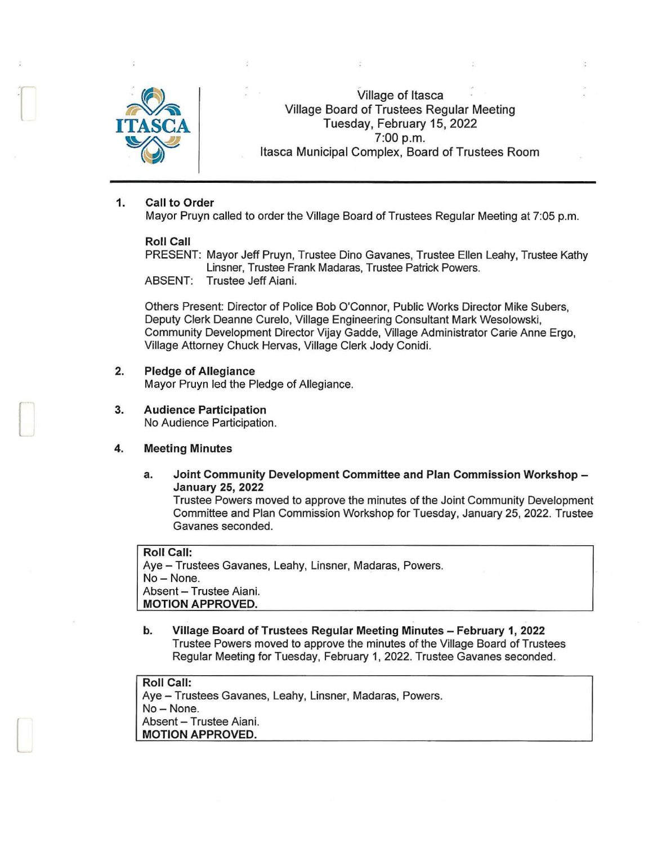

 $\Box$ 

 $\Box$ 

 $\Box$ 

Village of Itasca Village Board of Trustees Regular Meeting Tuesday, February 15, 2022 ~ 7:00 p.m. Itasca Municipal Complex, Board of Trustees Room

### 1. Call to Order

Mayor Pruyn called to order the Village Board of Trustees Regular Meeting at 7:05 p.m.

#### Roll Call

PRESENT: Mayor Jeff Pruyn, Trustee Dino Gavanes, Trustee Ellen Leahy, Trustee Kathy Linsner, Trustee Frank Madaras, Trustee Patrick Powers. ABSENT: Trustee Jeff Aiani.

Others Present: Director of Police Bob O'Connor, Public Works Director Mike Subers, Deputy Clerk Deanne Curelo, Village Engineering Consultant Mark Wesolowski, Community Development Director Vijay Gadde, Village Administrator Carie Anne Ergo, Village Attorney Chuck Hervas, Village Clerk Jody Conidi.

### 2. Pledge of Allegiance

Mayor Pruyn led the Pledge of Allegiance.

3. Audience Participation

No Audience Participation.

## 4. Meeting Minutes

a. Joint Community Development Committee and Plan Commission Workshop - January 25, 2022

Trustee Powers moved to approve the minutes of the Joint Community Development Committee and Plan Commission Workshop for Tuesday, January 25, 2022. Trustee Gavanes seconded.

Roll Call: Aye - Trustees Gavanes, Leahy, Linsner, Madaras, Powers. No-None. Absent - Trustee Aiani. MOTION APPROVED.

b. Village Board of Trustees Regular Meeting Minutes - February 1, 2022 Trustee Powers moved to approve the minutes of the Village Board of Trustees Regular Meeting for Tuesday, February 1, 2022. Trustee Gavanes seconded.

Roll Call: Aye - Trustees Gavanes, Leahy, Linsner, Madaras, Powers. No-None. Absent - Trustee Aiani. MOTION APPROVED.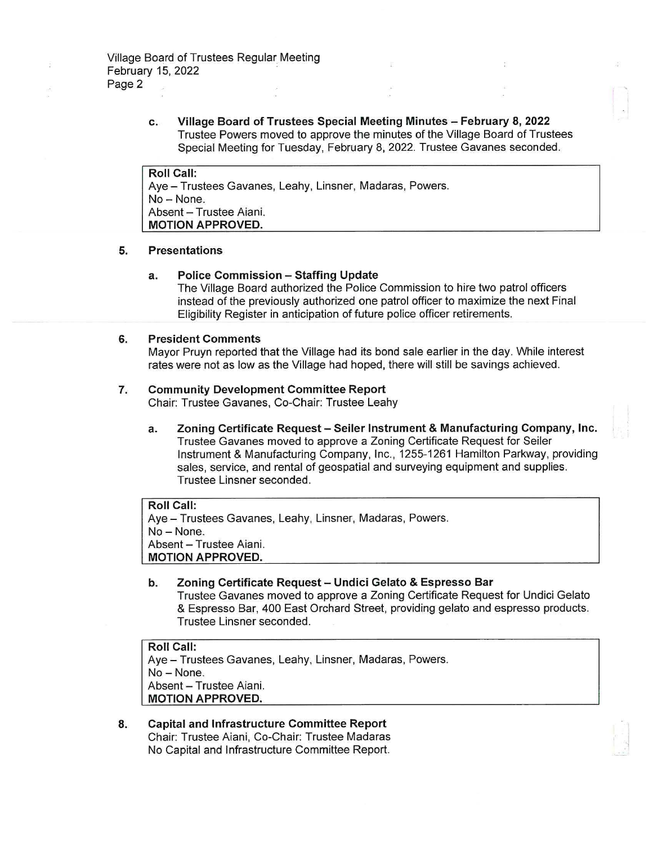c. Village Board of Trustees Special Meeting Minutes - February 8, 2022 Trustee Powers moved to approve the minutes of the Village Board of Trustees Special Meeting for Tuesday, February 8, 2022. Trustee Gavanes seconded.

Roll Call: Aye - Trustees Gavanes, Leahy, Linsner, Madaras, Powers. No- None. Absent - Trustee Aiani. MOTION APPROVED.

#### 5. Presentations

#### a. Police Commission - Staffing Update

The Village Board authorized the Police Commission to hire two patrol officers instead of the previously authorized one patrol officer to maximize the next Final Eligibility Register in anticipation of future police officer retirements.

#### 6. President Comments

Mayor Pruyn reported that the Village had its bond sale earlier in the day. While interest rates were not as low as the Village had hoped, there will still be savings achieved.

#### 7. Community Development Committee Report

Chair: Trustee Gavanes, Co-Chair: Trustee Leahy

a. Zoning Certificate Request - Seiler Instrument & Manufacturing Company, Inc. Trustee Gavanes moved to approve a Zoning Certificate Request for Seiler Instrument & Manufacturing Company, Inc., 1255-1261 Hamilton Parkway, providing sales, service, and rental of geospatial and surveying equipment and supplies. Trustee Linsner seconded.

Roll Call: Aye - Trustees Gavanes, Leahy, Linsner, Madaras, Powers. No- None. Absent - Trustee Aiani. MOTION APPROVED.

b. Zoning Certificate Request - Undici Gelato & Espresso Bar Trustee Gavanes moved to approve a Zoning Certificate Request for Undici Gelato & Espresso Bar, 400 East Orchard Street, providing gelato and espresso products. Trustee Linsner seconded.

Roll Call: Aye - Trustees Gavanes, Leahy, Linsner, Madaras, Powers. No - None. Absent - Trustee Aiani. MOTION APPROVED.

8. Capital and Infrastructure Committee Report Chair: Trustee Aiani, Co-Chair: Trustee Madaras No Capital and Infrastructure Committee Report.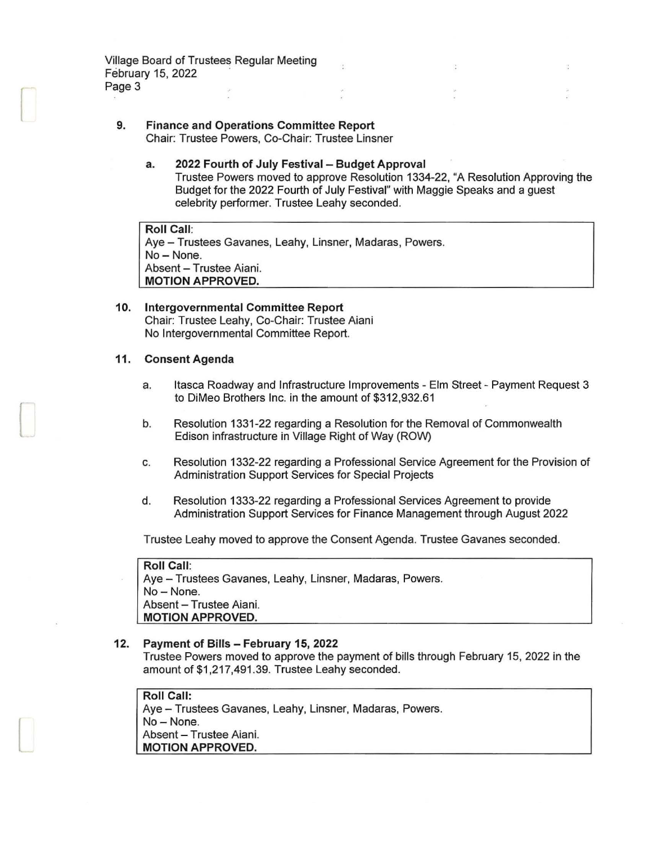Village Board of Trustees Regular Meeting February 15, 2022 Page 3

*[* 

 $\Box$ 

l

#### **9. Finance and Operations Committee Report**  Chair: Trustee Powers, Co-Chair: Trustee Linsner

## **a. 2022 Fourth of July Festival - Budget Approval**  Trustee Powers moved to approve Resolution 1334-22, "A Resolution Approving the Budget for the 2022 Fourth of July Festival" with Maggie Speaks and a guest celebrity performer. Trustee Leahy seconded.

**Roll Call:**  Aye - Trustees Gavanes, Leahy, Linsner, Madaras, Powers. No-None. Absent - Trustee Aiani. **MOTION APPROVED.** 

## **10. Intergovernmental Committee Report**  Chair: Trustee Leahy, Co-Chair: Trustee Aiani No Intergovernmental Committee Report.

## **11. Consent Agenda**

- a. Itasca Roadway and Infrastructure Improvements - Elm Street - Payment Request 3 to DiMeo Brothers Inc. in the amount of \$312,932.61
- b. Resolution 1331-22 regarding a Resolution for the Removal of Commonwealth Edison infrastructure in Village Right of Way (ROW)
- c. Resolution 1332-22 regarding a Professional Service Agreement for the Provision of Administration Support Services for Special Projects
- d. Resolution 1333-22 regarding a Professional Services Agreement to provide Administration Support Services for Finance Management through August 2022

Trustee Leahy moved to approve the Consent Agenda. Trustee Gavanes seconded.

**Roll Call:**  Aye - Trustees Gavanes, Leahy, Linsner, Madaras, Powers. No - None. Absent - Trustee Aiani. **MOTION APPROVED.** 

# **12. Payment of Bills - February 15, 2022**

Trustee Powers moved to approve the payment of bills through February 15, 2022 in the amount of \$1,217,491.39. Trustee Leahy seconded.

# **Roll Call:**

Aye - Trustees Gavanes, Leahy, Linsner, Madaras, Powers. No-None. Absent - Trustee Aiani. **MOTION APPROVED.**